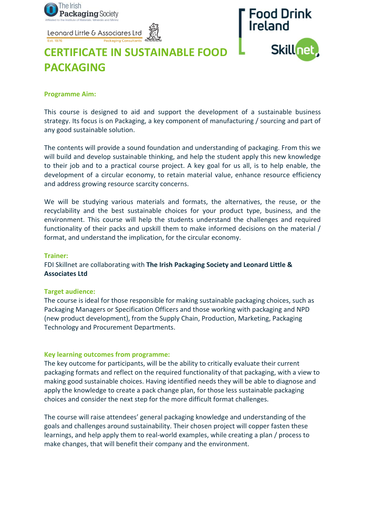

Leonard Little & Associates Ltd



# **CERTIFICATE IN SUSTAINABLE FOOD PACKAGING**

#### **Programme Aim:**

This course is designed to aid and support the development of a sustainable business strategy. Its focus is on Packaging, a key component of manufacturing / sourcing and part of any good sustainable solution.

The contents will provide a sound foundation and understanding of packaging. From this we will build and develop sustainable thinking, and help the student apply this new knowledge to their job and to a practical course project. A key goal for us all, is to help enable, the development of a circular economy, to retain material value, enhance resource efficiency and address growing resource scarcity concerns.

We will be studying various materials and formats, the alternatives, the reuse, or the recyclability and the best sustainable choices for your product type, business, and the environment. This course will help the students understand the challenges and required functionality of their packs and upskill them to make informed decisions on the material / format, and understand the implication, for the circular economy.

#### **Trainer:**

FDI Skillnet are collaborating with **The Irish Packaging Society and Leonard Little & Associates Ltd**

#### **Target audience:**

The course is ideal for those responsible for making sustainable packaging choices, such as Packaging Managers or Specification Officers and those working with packaging and NPD (new product development), from the Supply Chain, Production, Marketing, Packaging Technology and Procurement Departments.

## **Key learning outcomes from programme:**

The key outcome for participants, will be the ability to critically evaluate their current packaging formats and reflect on the required functionality of that packaging, with a view to making good sustainable choices. Having identified needs they will be able to diagnose and apply the knowledge to create a pack change plan, for those less sustainable packaging choices and consider the next step for the more difficult format challenges.

The course will raise attendees' general packaging knowledge and understanding of the goals and challenges around sustainability. Their chosen project will copper fasten these learnings, and help apply them to real-world examples, while creating a plan / process to make changes, that will benefit their company and the environment.